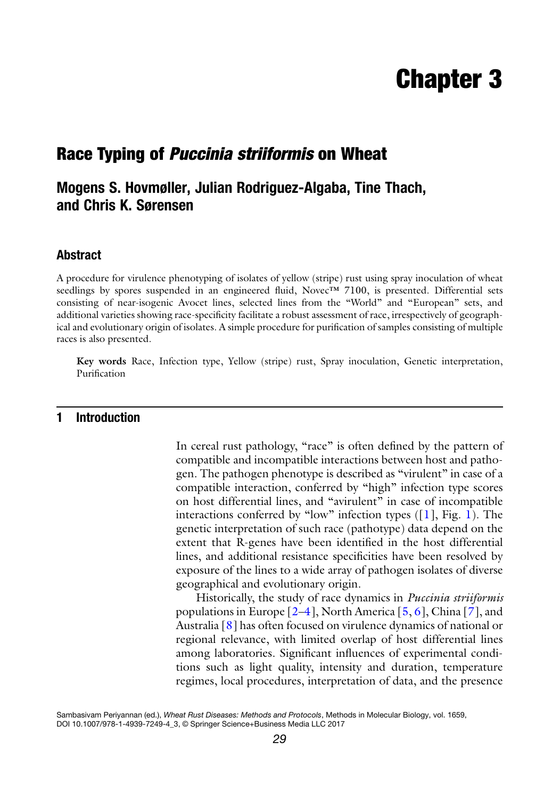# Chapter 3

# Race Typing of Puccinia striiformis on Wheat

## Mogens S. Hovmøller, Julian Rodriguez-Algaba, Tine Thach, and Chris K. Sørensen

#### Abstract

A procedure for virulence phenotyping of isolates of yellow (stripe) rust using spray inoculation of wheat seedlings by spores suspended in an engineered fluid, Novec™ 7100, is presented. Differential sets consisting of near-isogenic Avocet lines, selected lines from the "World" and "European" sets, and additional varieties showing race-specificity facilitate a robust assessment of race, irrespectively of geographical and evolutionary origin of isolates. A simple procedure for purification of samples consisting of multiple races is also presented.

Key words Race, Infection type, Yellow (stripe) rust, Spray inoculation, Genetic interpretation, Purification

#### 1 Introduction

In cereal rust pathology, "race" is often defined by the pattern of compatible and incompatible interactions between host and pathogen. The pathogen phenotype is described as "virulent" in case of a compatible interaction, conferred by "high" infection type scores on host differential lines, and "avirulent" in case of incompatible interactions conferred by "low" infection types  $(1]$  $(1]$  $(1]$ , Fig. 1). The genetic interpretation of such race (pathotype) data depend on the extent that R-genes have been identified in the host differential lines, and additional resistance specificities have been resolved by exposure of the lines to a wide array of pathogen isolates of diverse geographical and evolutionary origin.

Historically, the study of race dynamics in Puccinia striiformis populations in Europe  $[2-4]$  $[2-4]$ , North America  $[5, 6]$  $[5, 6]$  $[5, 6]$  $[5, 6]$ , China  $[7]$ , and Australia [[8\]](#page-10-6) has often focused on virulence dynamics of national or regional relevance, with limited overlap of host differential lines among laboratories. Significant influences of experimental conditions such as light quality, intensity and duration, temperature regimes, local procedures, interpretation of data, and the presence

Sambasivam Periyannan (ed.), Wheat Rust Diseases: Methods and Protocols, Methods in Molecular Biology, vol. 1659, DOI 10.1007/978-1-4939-7249-4\_3, © Springer Science+Business Media LLC 2017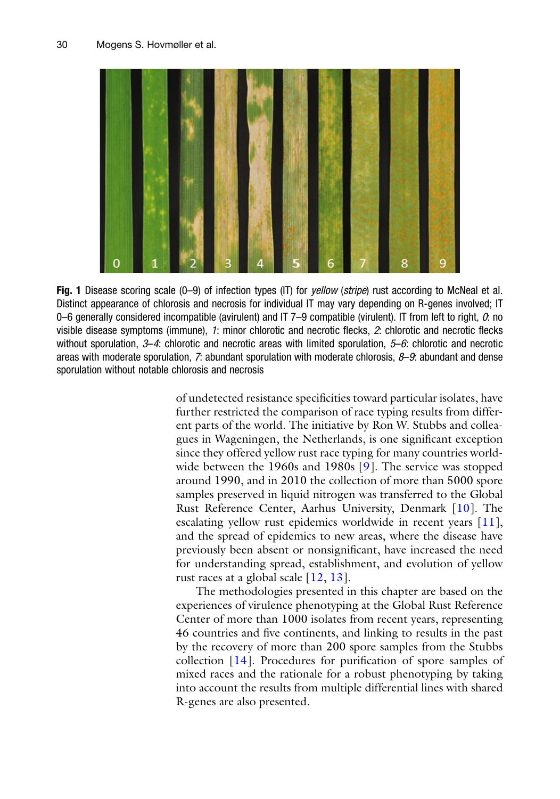<span id="page-1-0"></span>

Fig. 1 Disease scoring scale (0–9) of infection types (IT) for *yellow* (*stripe*) rust according to McNeal et al. Distinct appearance of chlorosis and necrosis for individual IT may vary depending on R-genes involved; IT 0–6 generally considered incompatible (avirulent) and IT 7–9 compatible (virulent). IT from left to right,  $0$ : no visible disease symptoms (immune), 1: minor chlorotic and necrotic flecks, 2: chlorotic and necrotic flecks without sporulation, 3–4: chlorotic and necrotic areas with limited sporulation, 5–6: chlorotic and necrotic areas with moderate sporulation,  $\bar{r}$ : abundant sporulation with moderate chlorosis,  $\beta$ –9: abundant and dense sporulation without notable chlorosis and necrosis

of undetected resistance specificities toward particular isolates, have further restricted the comparison of race typing results from different parts of the world. The initiative by Ron W. Stubbs and colleagues in Wageningen, the Netherlands, is one significant exception since they offered yellow rust race typing for many countries world-wide between the 1960s and 1980s [[9\]](#page-10-0). The service was stopped around 1990, and in 2010 the collection of more than 5000 spore samples preserved in liquid nitrogen was transferred to the Global Rust Reference Center, Aarhus University, Denmark [[10\]](#page-10-7). The escalating yellow rust epidemics worldwide in recent years [[11](#page-10-8)], and the spread of epidemics to new areas, where the disease have previously been absent or nonsignificant, have increased the need for understanding spread, establishment, and evolution of yellow rust races at a global scale [[12,](#page-10-9) [13](#page-10-10)].

The methodologies presented in this chapter are based on the experiences of virulence phenotyping at the Global Rust Reference Center of more than 1000 isolates from recent years, representing 46 countries and five continents, and linking to results in the past by the recovery of more than 200 spore samples from the Stubbs collection [\[14\]](#page-10-11). Procedures for purification of spore samples of mixed races and the rationale for a robust phenotyping by taking into account the results from multiple differential lines with shared R-genes are also presented.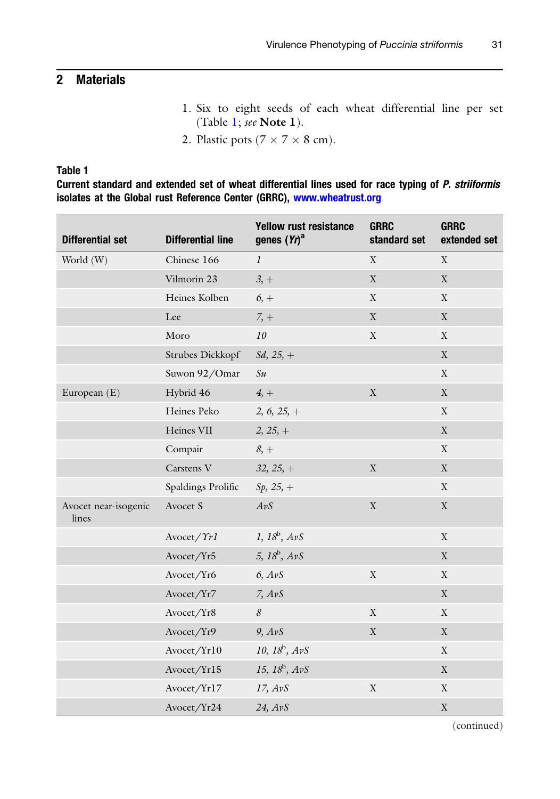## 2 Materials

- 1. Six to eight seeds of each wheat differential line per set (Table [1](#page-2-0); see Note 1).
- 2. Plastic pots ( $7 \times 7 \times 8$  cm).

#### <span id="page-2-0"></span>Table 1

Current standard and extended set of wheat differential lines used for race typing of P. striiformis isolates at the Global rust Reference Center (GRRC), [www.wheatrust.org](http://www.wheatrust.org)

| <b>Differential set</b>       | <b>Differential line</b> | <b>Yellow rust resistance</b><br>genes $(Yt)^a$ | <b>GRRC</b><br>standard set | <b>GRRC</b><br>extended set |
|-------------------------------|--------------------------|-------------------------------------------------|-----------------------------|-----------------------------|
| World (W)                     | Chinese 166              | $\mathfrak{I}$                                  | $\mathbf X$                 | $\mathbf X$                 |
|                               | Vilmorin 23              | $3, +$                                          | $\mathbf X$                 | $\mathbf X$                 |
|                               | Heines Kolben            | $6, +$                                          | $\mathbf X$                 | X                           |
|                               | Lee                      | $7, +$                                          | $\mathbf X$                 | $\mathbf X$                 |
|                               | Moro                     | ${\it 10}$                                      | $\mathbf X$                 | $\mathbf X$                 |
|                               | Strubes Dickkopf         | $Sd, 25, +$                                     |                             | $\mathbf X$                 |
|                               | Suwon 92/Omar            | Su                                              |                             | X                           |
| European (E)                  | Hybrid 46                | $4, +$                                          | $\mathbf X$                 | $\mathbf X$                 |
|                               | Heines Peko              | 2, 6, 25, $+$                                   |                             | X                           |
|                               | Heines VII               | $2, 25, +$                                      |                             | $\mathbf X$                 |
|                               | Compair                  | $8, +$                                          |                             | $\mathbf X$                 |
|                               | Carstens V               | $32, 25, +$                                     | $\mathbf X$                 | $\mathbf X$                 |
|                               | Spaldings Prolific       | $Sp, 25, +$                                     |                             | $\mathbf X$                 |
| Avocet near-isogenic<br>lines | Avocet S                 | AvS                                             | $\mathbf X$                 | $\mathbf X$                 |
|                               | Avocet/Yr1               | $1, 18^b, A\nu S$                               |                             | $\mathbf X$                 |
|                               | Avocet/Yr5               | 5, $18^{\circ}$ , $A\mathit{v}S$                |                             | X                           |
|                               | Avocet/Yr6               | $6,$ AvS                                        | $\mathbf X$                 | $\mathbf X$                 |
|                               | Avocet/Yr7               | 7, AvS                                          |                             | $\mathbf X$                 |
|                               | Avocet/Yr8               | $\boldsymbol{\mathcal{S}}$                      | X                           | X                           |
|                               | Avocet/Yr9               | $9,$ AvS                                        | $\mathbf X$                 | $\mathbf X$                 |
|                               | Avocet/Yr10              | 10, $18^{\rm b}$ , $AvS$                        |                             | $\mathbf X$                 |
|                               | Avocet/Yr15              | 15, $18^{\rm b}$ , $AvS$                        |                             | $\mathbf X$                 |
|                               | Avocet/Yr17              | 17, AvS                                         | $\mathbf X$                 | $\mathbf X$                 |
|                               | Avocet/Yr24              | 24, AvS                                         |                             | $\mathbf X$                 |

(continued)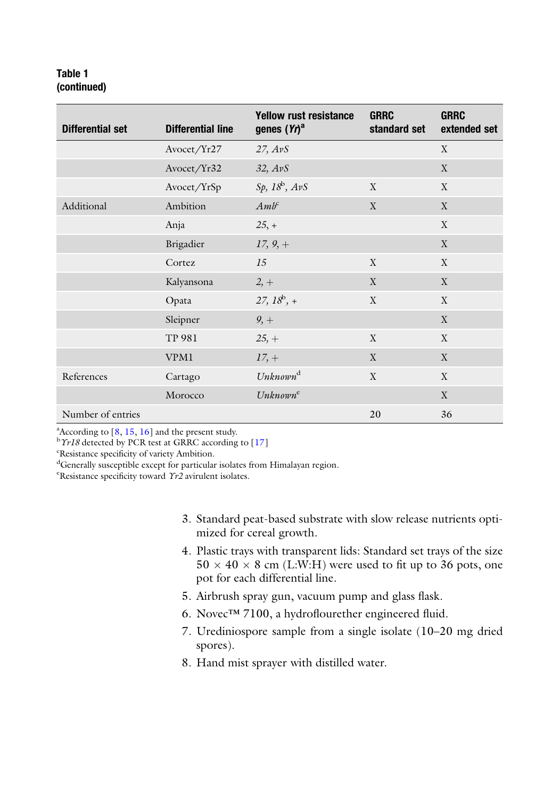#### Table 1 (continued)

| Differential set  | <b>Differential line</b> | <b>Yellow rust resistance</b><br>genes $(Yt)^a$ | <b>GRRC</b><br>standard set | <b>GRRC</b><br>extended set |
|-------------------|--------------------------|-------------------------------------------------|-----------------------------|-----------------------------|
|                   | Avocet/Yr27              | 27, AvS                                         |                             | X                           |
|                   | Avocet/Yr32              | 32, AvS                                         |                             | X                           |
|                   | Avocet/YrSp              | $Sp, 18^b, AvS$                                 | X                           | X                           |
| Additional        | Ambition                 | $Amb^c$                                         | $\mathbf{X}$                | $\mathbf{X}$                |
|                   | Anja                     | $25, +$                                         |                             | X                           |
|                   | Brigadier                | $17, 9, +$                                      |                             | X                           |
|                   | Cortez                   | 15                                              | $\mathbf{X}$                | X                           |
|                   | Kalyansona               | $2, +$                                          | X                           | $\mathbf{X}$                |
|                   | Opata                    | $27, 18^b, +$                                   | X                           | X                           |
|                   | Sleipner                 | $9, +$                                          |                             | $\mathbf X$                 |
|                   | TP 981                   | $25, +$                                         | X                           | X                           |
|                   | <b>VPM1</b>              | $17, +$                                         | X                           | X                           |
| References        | Cartago                  | Unknown <sup>d</sup>                            | X                           | X                           |
|                   | Morocco                  | Unknown <sup>c</sup>                            |                             | X                           |
| Number of entries |                          |                                                 | 20                          | 36                          |

<sup>a</sup> According to [\[8,](#page-10-6) [15](#page-10-12), [16\]](#page-11-0) and the present study.<br><sup>b</sup>  $\gamma v18$  detected by PCB test at GBBC according

 $b$ <sup>b</sup> $\gamma$ *r18* detected by PCR test at GRRC according to [[17\]](#page-11-1)

Resistance specificity of variety Ambition.

dGenerally susceptible except for particular isolates from Himalayan region.

<sup>e</sup>Resistance specificity toward Yr2 avirulent isolates.

- 3. Standard peat-based substrate with slow release nutrients optimized for cereal growth.
- 4. Plastic trays with transparent lids: Standard set trays of the size  $50 \times 40 \times 8$  cm (L:W:H) were used to fit up to 36 pots, one pot for each differential line.
- 5. Airbrush spray gun, vacuum pump and glass flask.
- 6. Novec™ 7100, a hydroflourether engineered fluid.
- 7. Urediniospore sample from a single isolate (10–20 mg dried spores).
- 8. Hand mist sprayer with distilled water.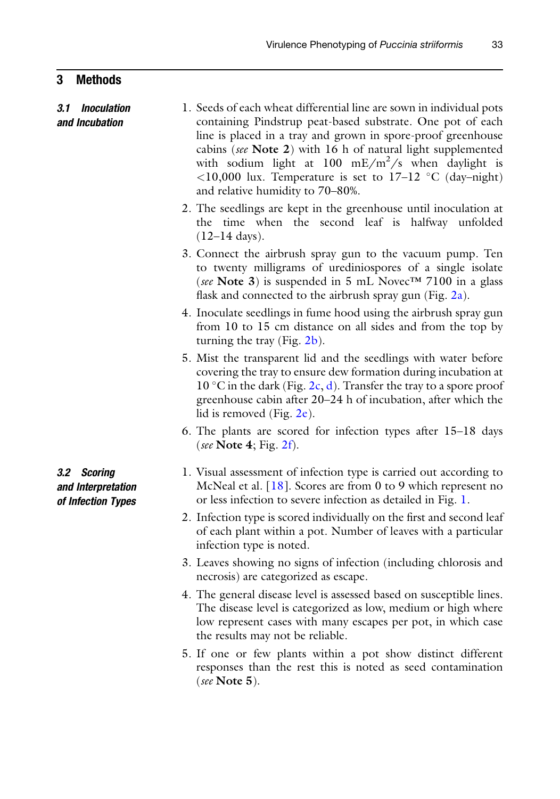#### 3 Methods

- 3.1 Inoculation and Incubation 1. Seeds of each wheat differential line are sown in individual pots containing Pindstrup peat-based substrate. One pot of each line is placed in a tray and grown in spore-proof greenhouse cabins (see Note 2) with 16 h of natural light supplemented with sodium light at  $100$  mE/m<sup>2</sup>/s when daylight is  $\langle 10,000 \rangle$  lux. Temperature is set to 17–12 °C (day–night) and relative humidity to 70–80%.
	- 2. The seedlings are kept in the greenhouse until inoculation at the time when the second leaf is halfway unfolded (12–14 days).
	- 3. Connect the airbrush spray gun to the vacuum pump. Ten to twenty milligrams of urediniospores of a single isolate (see Note 3) is suspended in 5 mL Novec<sup>TM</sup> 7100 in a glass flask and connected to the airbrush spray gun (Fig.  $2a$ ).
	- 4. Inoculate seedlings in fume hood using the airbrush spray gun from 10 to 15 cm distance on all sides and from the top by turning the tray (Fig. [2b](#page-5-0)).
	- 5. Mist the transparent lid and the seedlings with water before covering the tray to ensure dew formation during incubation at  $10^{\circ}$ C in the dark (Fig. [2c,](#page-5-0) [d](#page-5-0)). Transfer the tray to a spore proof greenhouse cabin after 20–24 h of incubation, after which the lid is removed (Fig. [2e](#page-5-0)).
	- 6. The plants are scored for infection types after 15–18 days (see Note 4; Fig.  $2f$ ).
	- 1. Visual assessment of infection type is carried out according to McNeal et al. [\[18\]](#page-11-2). Scores are from 0 to 9 which represent no or less infection to severe infection as detailed in Fig. [1](#page-1-0).
	- 2. Infection type is scored individually on the first and second leaf of each plant within a pot. Number of leaves with a particular infection type is noted.
	- 3. Leaves showing no signs of infection (including chlorosis and necrosis) are categorized as escape.
	- 4. The general disease level is assessed based on susceptible lines. The disease level is categorized as low, medium or high where low represent cases with many escapes per pot, in which case the results may not be reliable.
	- 5. If one or few plants within a pot show distinct different responses than the rest this is noted as seed contamination (see Note 5).

3.2 Scoring and Interpretation of Infection Types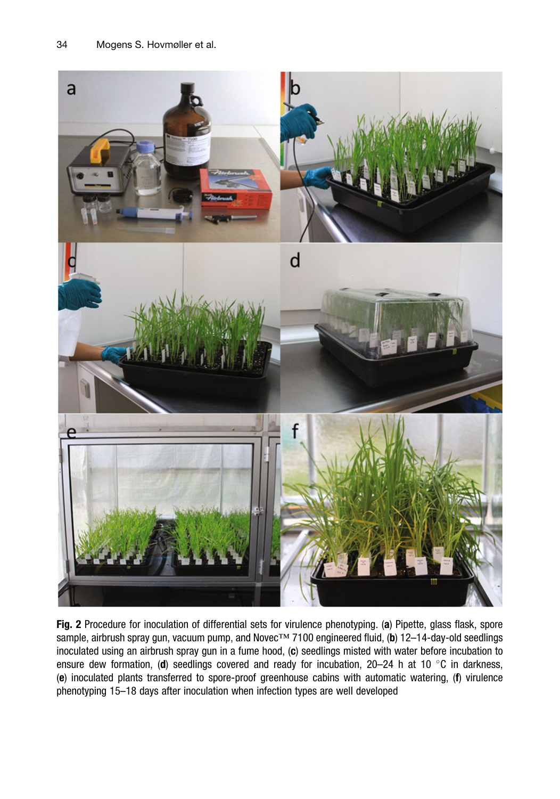<span id="page-5-0"></span>

Fig. 2 Procedure for inoculation of differential sets for virulence phenotyping. (a) Pipette, glass flask, spore sample, airbrush spray gun, vacuum pump, and Novec™ 7100 engineered fluid, (b) 12–14-day-old seedlings inoculated using an airbrush spray gun in a fume hood, (c) seedlings misted with water before incubation to ensure dew formation, (d) seedlings covered and ready for incubation,  $20-24$  h at 10 °C in darkness, (e) inoculated plants transferred to spore-proof greenhouse cabins with automatic watering, (f) virulence phenotyping 15–18 days after inoculation when infection types are well developed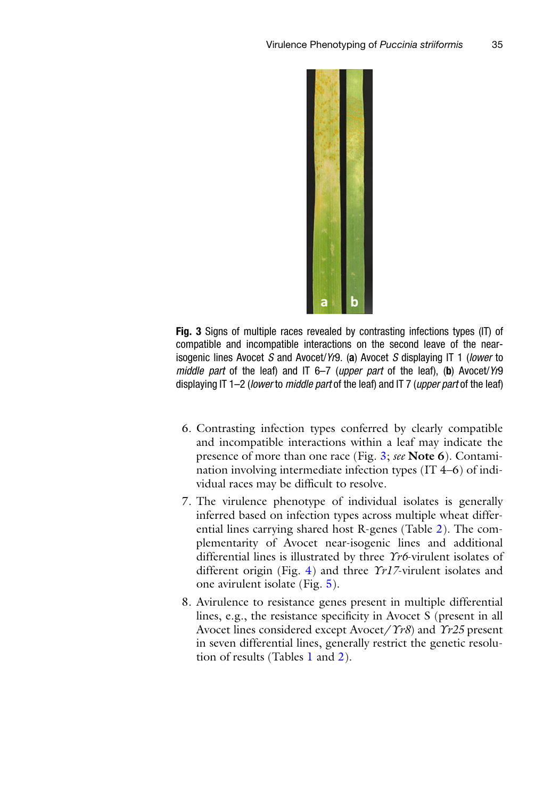<span id="page-6-0"></span>

Fig. 3 Signs of multiple races revealed by contrasting infections types (IT) of compatible and incompatible interactions on the second leave of the nearisogenic lines Avocet S and Avocet/Yr9. (a) Avocet S displaying IT 1 (lower to middle part of the leaf) and IT 6–7 (upper part of the leaf), (b) Avocet/Yr9 displaying IT 1–2 (lower to middle part of the leaf) and IT 7 (upper part of the leaf)

- 6. Contrasting infection types conferred by clearly compatible and incompatible interactions within a leaf may indicate the presence of more than one race (Fig. [3;](#page-6-0) see Note 6). Contamination involving intermediate infection types (IT 4–6) of individual races may be difficult to resolve.
- 7. The virulence phenotype of individual isolates is generally inferred based on infection types across multiple wheat differential lines carrying shared host R-genes (Table [2](#page-7-0)). The complementarity of Avocet near-isogenic lines and additional differential lines is illustrated by three Yr6-virulent isolates of different origin (Fig. [4](#page-8-0)) and three  $\gamma r I \bar{Z}$ -virulent isolates and one avirulent isolate (Fig. [5\)](#page-9-0).
- 8. Avirulence to resistance genes present in multiple differential lines, e.g., the resistance specificity in Avocet S (present in all Avocet lines considered except Avocet/ $\hat{\gamma}$ r8) and  $\hat{\gamma}$ r25 present in seven differential lines, generally restrict the genetic resolution of results (Tables [1](#page-2-0) and [2\)](#page-7-0).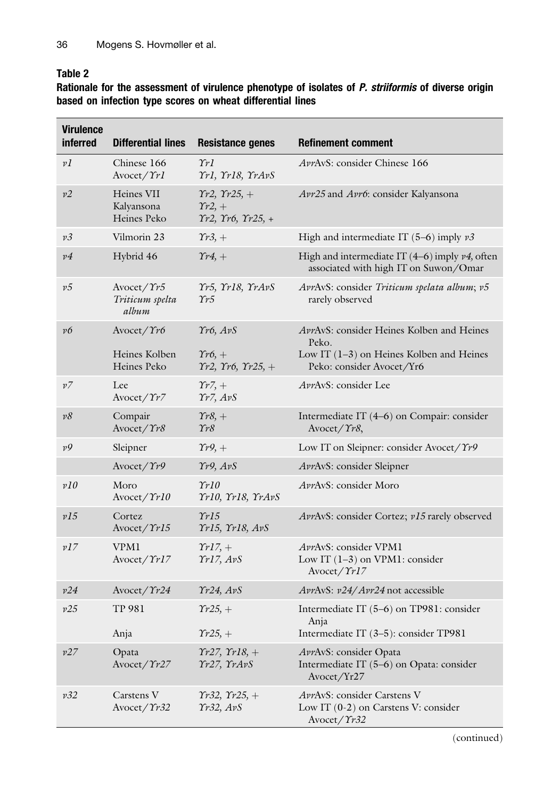### <span id="page-7-0"></span>Table 2

Rationale for the assessment of virulence phenotype of isolates of *P. striiformis* of diverse origin based on infection type scores on wheat differential lines

| <b>Virulence</b><br><b>inferred</b> | <b>Differential lines</b>                              | <b>Resistance genes</b>                                                          | <b>Refinement comment</b>                                                                                                     |
|-------------------------------------|--------------------------------------------------------|----------------------------------------------------------------------------------|-------------------------------------------------------------------------------------------------------------------------------|
| vI                                  | Chinese 166<br>Avocet/Yr1                              | $\gamma_{rl}$<br>Trl, Trl8, TrAvS                                                | AvrAvS: consider Chinese 166                                                                                                  |
| v2                                  | Heines VII<br>Kalyansona<br>Heines Peko                | $Tr2, Tr25, +$<br>$\gamma_{r2,+}$<br>$\Upsilon r2, \Upsilon r6, \Upsilon r25, +$ | Avr25 and Avr6: consider Kalyansona                                                                                           |
| v3                                  | Vilmorin 23                                            | $\gamma_{r3,+}$                                                                  | High and intermediate IT $(5-6)$ imply $v3$                                                                                   |
| $\nu$ <sup>4</sup>                  | Hybrid 46                                              | $\gamma_{r4,+}$                                                                  | High and intermediate IT $(4-6)$ imply $\nu$ 4, often<br>associated with high IT on Suwon/Omar                                |
| v5                                  | ${\rm Avocet}/\Upsilon r5$<br>Triticum spelta<br>album | Yr5, Yr18, YrAvS<br>$\gamma_{r5}$                                                | AvrAvS: consider Triticum spelata album; v5<br>rarely observed                                                                |
| v6                                  | Avocet/Yr6<br>Heines Kolben<br>Heines Peko             | Tr6, ArS<br>$\gamma_{r6,+}$<br>$Tr2, Tr6, Tr25, +$                               | AvrAvS: consider Heines Kolben and Heines<br>Peko.<br>Low IT $(1-3)$ on Heines Kolben and Heines<br>Peko: consider Avocet/Yr6 |
| ν7                                  | Lee<br>Avocet/Yr7                                      | $\gamma_{r7,+}$<br>$\Upsilon r$ 7, $AvS$                                         | AvrAvS: consider Lee                                                                                                          |
| $v\delta$                           | Compair<br>Avocet/Yr8                                  | $\gamma_{r8,+}$<br>$\gamma_{r8}$                                                 | Intermediate IT (4–6) on Compair: consider<br>${\rm Avocet}/\Upsilon r8$ ,                                                    |
| v9                                  | Sleipner                                               | $\gamma_{r}$ 9, +                                                                | Low IT on Sleipner: consider Avocet/Yr9                                                                                       |
|                                     | Avocet/Yr9                                             | Yr9, AvS                                                                         | AvrAvS: consider Sleipner                                                                                                     |
| v10                                 | Moro<br>Avocet/Yr10                                    | $\gamma r l0$<br>Yr10, Yr18, YrAvS                                               | AvrAvS: consider Moro                                                                                                         |
| v15                                 | Cortez<br>Avocet/Yr15                                  | $\gamma r$ 15<br>Tr15, Tr18, AvS                                                 | AvrAvS: consider Cortez; v15 rarely observed                                                                                  |
| v17                                 | <b>VPM1</b><br>${\rm Avocet}/\gamma r l 7$             | $TrI7, +$<br>Tr17, ArS                                                           | AvrAvS: consider VPM1<br>Low IT $(1-3)$ on VPM1: consider<br>${\rm Avocet}/\gamma r l 7$                                      |
| v24                                 | Avocet/Yr24                                            | $\gamma r24$ , $AvS$                                                             | AvrAvS: v24/Avr24 not accessible                                                                                              |
| v25                                 | <b>TP 981</b>                                          | $\gamma_{r25,+}$                                                                 | Intermediate IT (5-6) on TP981: consider<br>Anja                                                                              |
|                                     | Anja                                                   | $\gamma_{r25,+}$                                                                 | Intermediate IT (3-5): consider TP981                                                                                         |
| v27                                 | Opata<br>${\rm Avocet}/\Upsilon r27$                   | $Tr27, Tr18, +$<br>Yr27, YrAvS                                                   | AvrAvS: consider Opata<br>Intermediate IT (5–6) on Opata: consider<br>Avocet/Yr27                                             |
| v32                                 | Carstens V<br>${\rm Avocet}/\Upsilon r32$              | $Tr32, Tr25, +$<br>Tr32, ArS                                                     | AvrAvS: consider Carstens V<br>Low IT $(0-2)$ on Carstens V: consider<br>Avocet/Yr32                                          |

(continued)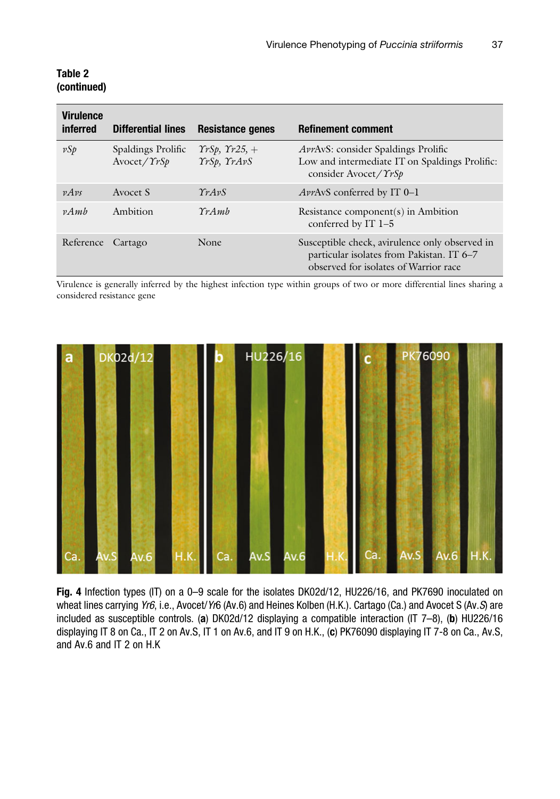| <b>Virulence</b><br>inferred | <b>Differential lines</b>                         | Resistance genes                              | <b>Refinement comment</b>                                                                                                            |
|------------------------------|---------------------------------------------------|-----------------------------------------------|--------------------------------------------------------------------------------------------------------------------------------------|
| $\nu S p$                    | Spaldings Prolific<br>${\rm Avocet}/\Upsilon rSp$ | $TrSp, Tr25, +$<br>YrSp, YrAvS                | <i>AvrAvS:</i> consider Spaldings Prolific<br>Low and intermediate IT on Spaldings Prolific:<br>consider Avocet/ $\gamma$ rSp        |
| $\nu A\nu s$                 | Avocet S                                          | $\gamma_{rA}$ <sub><i>v<sub>S</sub></i></sub> | <i>AvrAvS</i> conferred by IT 0-1                                                                                                    |
| $\nu A$ <i>mh</i>            | Ambition                                          | $\gamma_{rA}$ <sub><i>mh</i></sub>            | Resistance component(s) in Ambition<br>conferred by IT 1-5                                                                           |
| Reference                    | Cartago                                           | <b>None</b>                                   | Susceptible check, avirulence only observed in<br>particular isolates from Pakistan. IT 6–7<br>observed for isolates of Warrior race |

#### Table 2 (continued)

Virulence is generally inferred by the highest infection type within groups of two or more differential lines sharing a considered resistance gene

<span id="page-8-0"></span>

Fig. 4 Infection types (IT) on a 0-9 scale for the isolates DK02d/12, HU226/16, and PK7690 inoculated on wheat lines carrying Yr6, i.e., Avocet/Yr6 (Av.6) and Heines Kolben (H.K.). Cartago (Ca.) and Avocet S (Av.S) are included as susceptible controls. (a) DK02d/12 displaying a compatible interaction (IT 7-8), (b) HU226/16 displaying IT 8 on Ca., IT 2 on Av.S, IT 1 on Av.6, and IT 9 on H.K., (c) PK76090 displaying IT 7-8 on Ca., Av.S, and Av.6 and IT 2 on H.K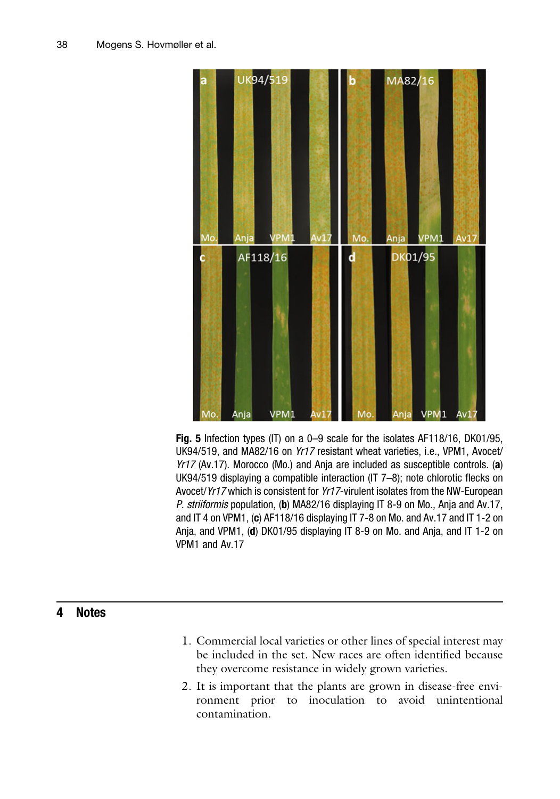<span id="page-9-0"></span>

Fig. 5 Infection types (IT) on a 0–9 scale for the isolates AF118/16, DK01/95, UK94/519, and MA82/16 on Yr17 resistant wheat varieties, i.e., VPM1, Avocet/ Yr17 (Av.17). Morocco (Mo.) and Anja are included as susceptible controls. (a) UK94/519 displaying a compatible interaction (IT 7–8); note chlorotic flecks on Avocet/Yr17 which is consistent for Yr17-virulent isolates from the NW-European P. striiformis population, (b) MA82/16 displaying IT 8-9 on Mo., Anja and Av.17, and IT 4 on VPM1, (c) AF118/16 displaying IT 7-8 on Mo. and Av.17 and IT 1-2 on Anja, and VPM1, (d) DK01/95 displaying IT 8-9 on Mo. and Anja, and IT 1-2 on VPM1 and Av.17

## 4 Notes

- 1. Commercial local varieties or other lines of special interest may be included in the set. New races are often identified because they overcome resistance in widely grown varieties.
- 2. It is important that the plants are grown in disease-free environment prior to inoculation to avoid unintentional contamination.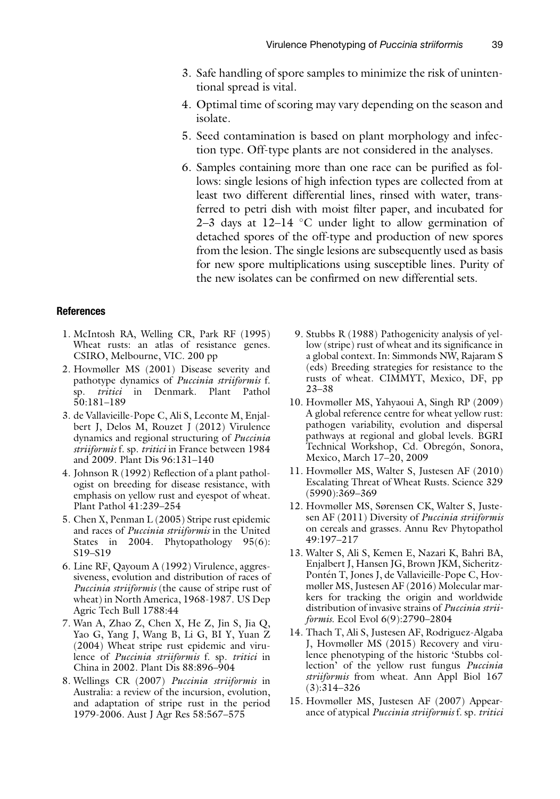- 3. Safe handling of spore samples to minimize the risk of unintentional spread is vital.
- 4. Optimal time of scoring may vary depending on the season and isolate.
- 5. Seed contamination is based on plant morphology and infection type. Off-type plants are not considered in the analyses.
- 6. Samples containing more than one race can be purified as follows: single lesions of high infection types are collected from at least two different differential lines, rinsed with water, transferred to petri dish with moist filter paper, and incubated for 2–3 days at  $12-14$  °C under light to allow germination of detached spores of the off-type and production of new spores from the lesion. The single lesions are subsequently used as basis for new spore multiplications using susceptible lines. Purity of the new isolates can be confirmed on new differential sets.

#### <span id="page-10-0"></span>References

- 1. McIntosh RA, Welling CR, Park RF (1995) Wheat rusts: an atlas of resistance genes. CSIRO, Melbourne, VIC. 200 pp
- <span id="page-10-1"></span>2. Hovmøller MS (2001) Disease severity and pathotype dynamics of Puccinia striiformis f. sp. tritici in Denmark. Plant Pathol 50:181–189
- <span id="page-10-7"></span>3. de Vallavieille-Pope C, Ali S, Leconte M, Enjalbert J, Delos M, Rouzet J (2012) Virulence dynamics and regional structuring of Puccinia striiformis f. sp. tritici in France between 1984 and 2009. Plant Dis 96:131–140
- <span id="page-10-8"></span><span id="page-10-2"></span>4. Johnson R (1992) Reflection of a plant pathologist on breeding for disease resistance, with emphasis on yellow rust and eyespot of wheat. Plant Pathol 41:239–254
- <span id="page-10-9"></span><span id="page-10-3"></span>5. Chen X, Penman L (2005) Stripe rust epidemic and races of Puccinia striiformis in the United States in 2004. Phytopathology 95(6): S19–S19
- <span id="page-10-10"></span><span id="page-10-4"></span>6. Line RF, Qayoum A (1992) Virulence, aggressiveness, evolution and distribution of races of Puccinia striiformis (the cause of stripe rust of wheat) in North America, 1968-1987. US Dep Agric Tech Bull 1788:44
- <span id="page-10-11"></span><span id="page-10-5"></span>7. Wan A, Zhao Z, Chen X, He Z, Jin S, Jia Q, Yao G, Yang J, Wang B, Li G, BI Y, Yuan Z (2004) Wheat stripe rust epidemic and virulence of Puccinia striiformis f. sp. tritici in China in 2002. Plant Dis 88:896–904
- <span id="page-10-12"></span><span id="page-10-6"></span>8. Wellings CR (2007) Puccinia striiformis in Australia: a review of the incursion, evolution, and adaptation of stripe rust in the period 1979-2006. Aust J Agr Res 58:567–575
- 9. Stubbs R (1988) Pathogenicity analysis of yellow (stripe) rust of wheat and its significance in a global context. In: Simmonds NW, Rajaram S (eds) Breeding strategies for resistance to the rusts of wheat. CIMMYT, Mexico, DF, pp 23–38
- 10. Hovmøller MS, Yahyaoui A, Singh RP (2009) A global reference centre for wheat yellow rust: pathogen variability, evolution and dispersal pathways at regional and global levels. BGRI Technical Workshop, Cd. Obregón, Sonora, Mexico, March 17–20, 2009
- 11. Hovmøller MS, Walter S, Justesen AF (2010) Escalating Threat of Wheat Rusts. Science 329 (5990):369–369
- 12. Hovmøller MS, Sørensen CK, Walter S, Justesen AF (2011) Diversity of Puccinia striiformis on cereals and grasses. Annu Rev Phytopathol 49:197–217
- 13. Walter S, Ali S, Kemen E, Nazari K, Bahri BA, Enjalbert J, Hansen JG, Brown JKM, Sicheritz-Pontén T, Jones J, de Vallavieille-Pope C, Hovmøller MS, Justesen AF (2016) Molecular markers for tracking the origin and worldwide distribution of invasive strains of Puccinia striiformis. Ecol Evol 6(9):2790–2804
- 14. Thach T, Ali S, Justesen AF, Rodriguez-Algaba J, Hovmøller MS (2015) Recovery and virulence phenotyping of the historic 'Stubbs collection' of the yellow rust fungus Puccinia striiformis from wheat. Ann Appl Biol 167 (3):314–326
- 15. Hovmøller MS, Justesen AF (2007) Appearance of atypical Puccinia striiformis f. sp. tritici